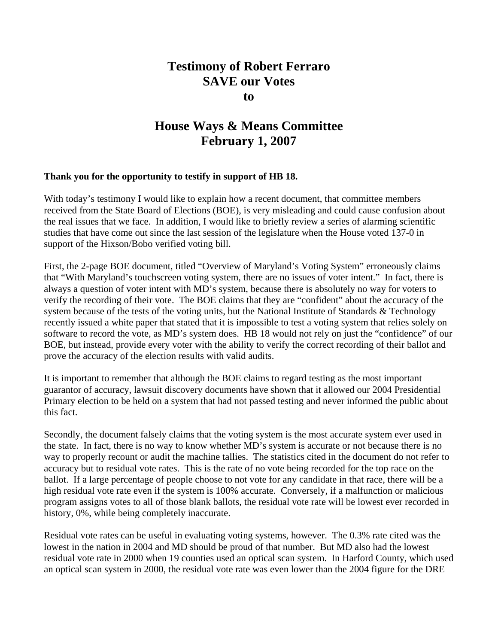## **Testimony of Robert Ferraro SAVE our Votes to**

## **House Ways & Means Committee February 1, 2007**

## **Thank you for the opportunity to testify in support of HB 18.**

With today's testimony I would like to explain how a recent document, that committee members received from the State Board of Elections (BOE), is very misleading and could cause confusion about the real issues that we face. In addition, I would like to briefly review a series of alarming scientific studies that have come out since the last session of the legislature when the House voted 137-0 in support of the Hixson/Bobo verified voting bill.

First, the 2-page BOE document, titled "Overview of Maryland's Voting System" erroneously claims that "With Maryland's touchscreen voting system, there are no issues of voter intent." In fact, there is always a question of voter intent with MD's system, because there is absolutely no way for voters to verify the recording of their vote. The BOE claims that they are "confident" about the accuracy of the system because of the tests of the voting units, but the National Institute of Standards & Technology recently issued a white paper that stated that it is impossible to test a voting system that relies solely on software to record the vote, as MD's system does. HB 18 would not rely on just the "confidence" of our BOE, but instead, provide every voter with the ability to verify the correct recording of their ballot and prove the accuracy of the election results with valid audits.

It is important to remember that although the BOE claims to regard testing as the most important guarantor of accuracy, lawsuit discovery documents have shown that it allowed our 2004 Presidential Primary election to be held on a system that had not passed testing and never informed the public about this fact.

Secondly, the document falsely claims that the voting system is the most accurate system ever used in the state. In fact, there is no way to know whether MD's system is accurate or not because there is no way to properly recount or audit the machine tallies. The statistics cited in the document do not refer to accuracy but to residual vote rates. This is the rate of no vote being recorded for the top race on the ballot. If a large percentage of people choose to not vote for any candidate in that race, there will be a high residual vote rate even if the system is 100% accurate. Conversely, if a malfunction or malicious program assigns votes to all of those blank ballots, the residual vote rate will be lowest ever recorded in history, 0%, while being completely inaccurate.

Residual vote rates can be useful in evaluating voting systems, however. The 0.3% rate cited was the lowest in the nation in 2004 and MD should be proud of that number. But MD also had the lowest residual vote rate in 2000 when 19 counties used an optical scan system. In Harford County, which used an optical scan system in 2000, the residual vote rate was even lower than the 2004 figure for the DRE